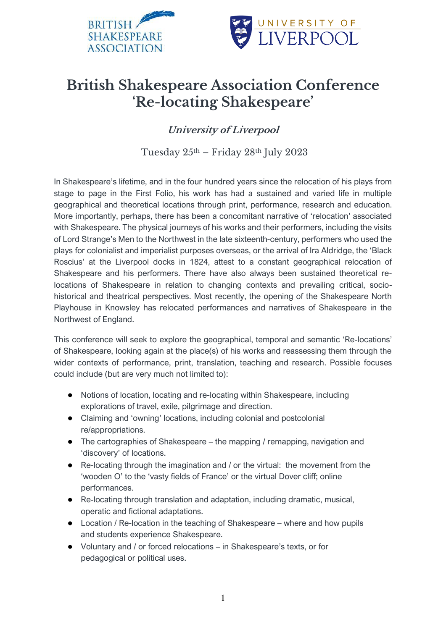



## **British Shakespeare Association Conference 'Re-locating Shakespeare'**

**University of Liverpool**

Tuesday  $25<sup>th</sup>$  – Friday  $28<sup>th</sup>$  July  $2023$ 

In Shakespeare's lifetime, and in the four hundred years since the relocation of his plays from stage to page in the First Folio, his work has had a sustained and varied life in multiple geographical and theoretical locations through print, performance, research and education. More importantly, perhaps, there has been a concomitant narrative of 'relocation' associated with Shakespeare. The physical journeys of his works and their performers, including the visits of Lord Strange's Men to the Northwest in the late sixteenth-century, performers who used the plays for colonialist and imperialist purposes overseas, or the arrival of Ira Aldridge, the 'Black Roscius' at the Liverpool docks in 1824, attest to a constant geographical relocation of Shakespeare and his performers. There have also always been sustained theoretical relocations of Shakespeare in relation to changing contexts and prevailing critical, sociohistorical and theatrical perspectives. Most recently, the opening of the Shakespeare North Playhouse in Knowsley has relocated performances and narratives of Shakespeare in the Northwest of England.

This conference will seek to explore the geographical, temporal and semantic 'Re-locations' of Shakespeare, looking again at the place(s) of his works and reassessing them through the wider contexts of performance, print, translation, teaching and research. Possible focuses could include (but are very much not limited to):

- Notions of location, locating and re-locating within Shakespeare, including explorations of travel, exile, pilgrimage and direction.
- Claiming and 'owning' locations, including colonial and postcolonial re/appropriations.
- The cartographies of Shakespeare the mapping / remapping, navigation and 'discovery' of locations.
- Re-locating through the imagination and / or the virtual: the movement from the 'wooden O' to the 'vasty fields of France' or the virtual Dover cliff; online performances.
- Re-locating through translation and adaptation, including dramatic, musical, operatic and fictional adaptations.
- Location / Re-location in the teaching of Shakespeare where and how pupils and students experience Shakespeare.
- Voluntary and / or forced relocations in Shakespeare's texts, or for pedagogical or political uses.